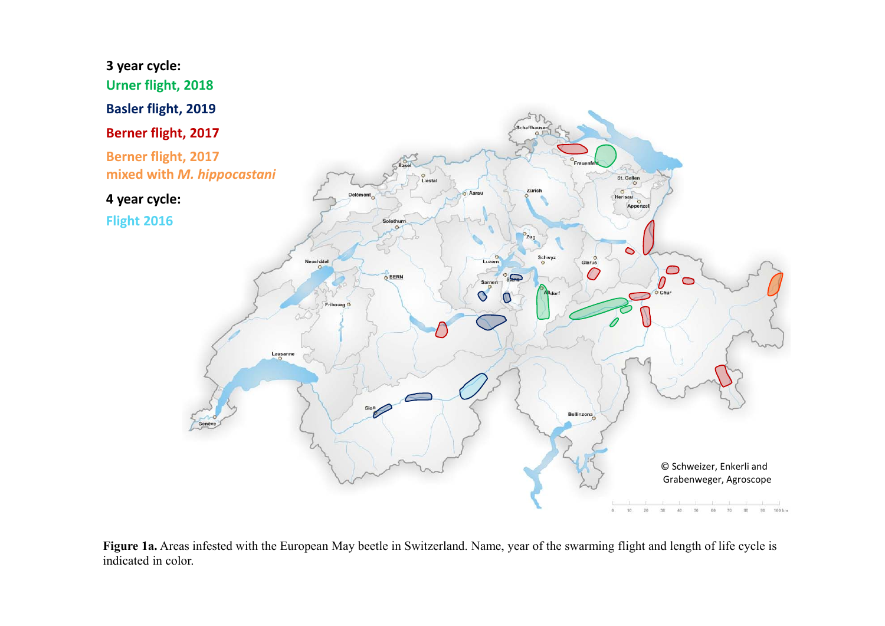

**Figure 1a.** Areas infested with the European May beetle in Switzerland. Name, year of the swarming flight and length of life cycle is indicated in color.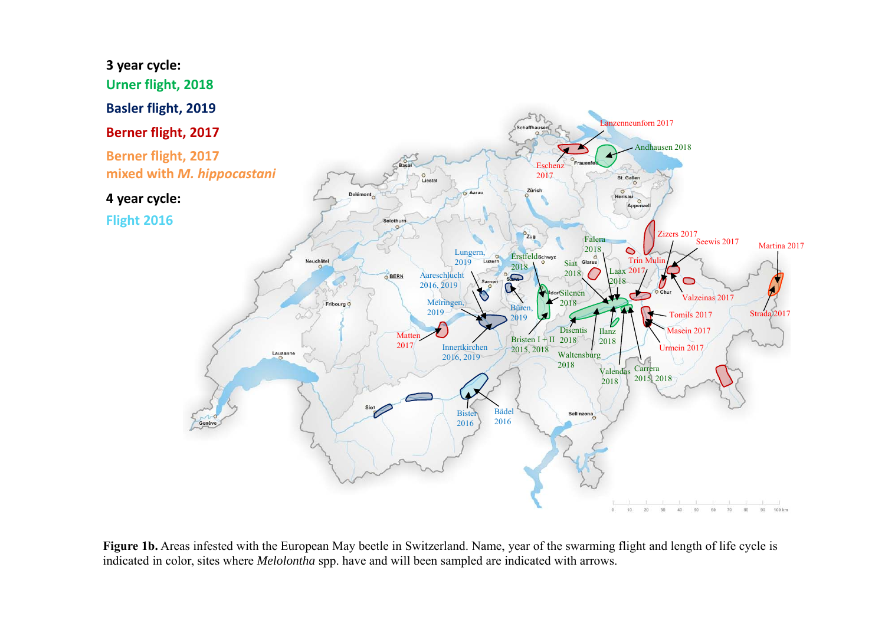

**Figure 1b.** Areas infested with the European May beetle in Switzerland. Name, year of the swarming flight and length of life cycle is indicated in color, sites where *Melolontha* spp. have and will been sampled are indicated with arrows.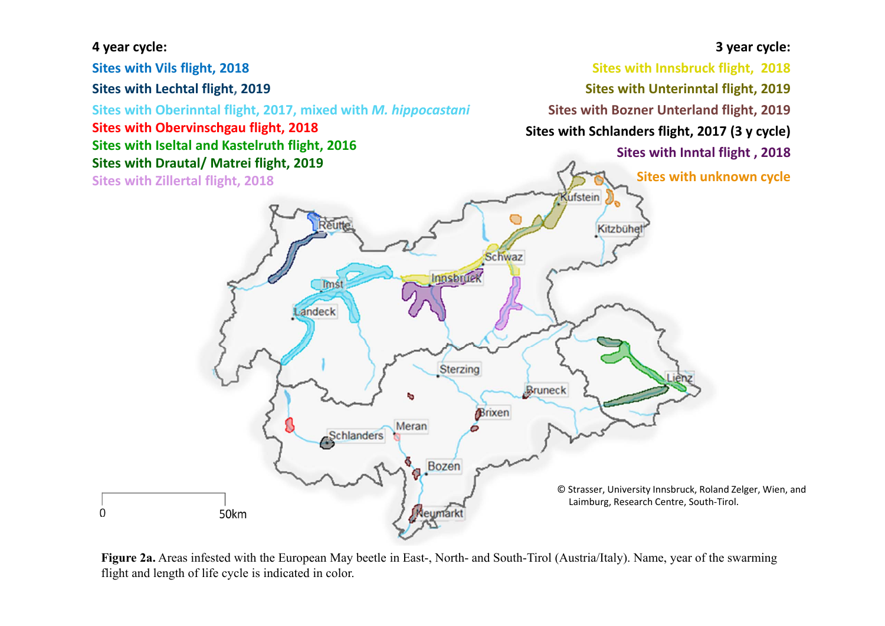

**Figure 2a.** Areas infested with the European May beetle in East-, North- and South-Tirol (Austria/Italy). Name, year of the swarming flight and length of life cycle is indicated in color.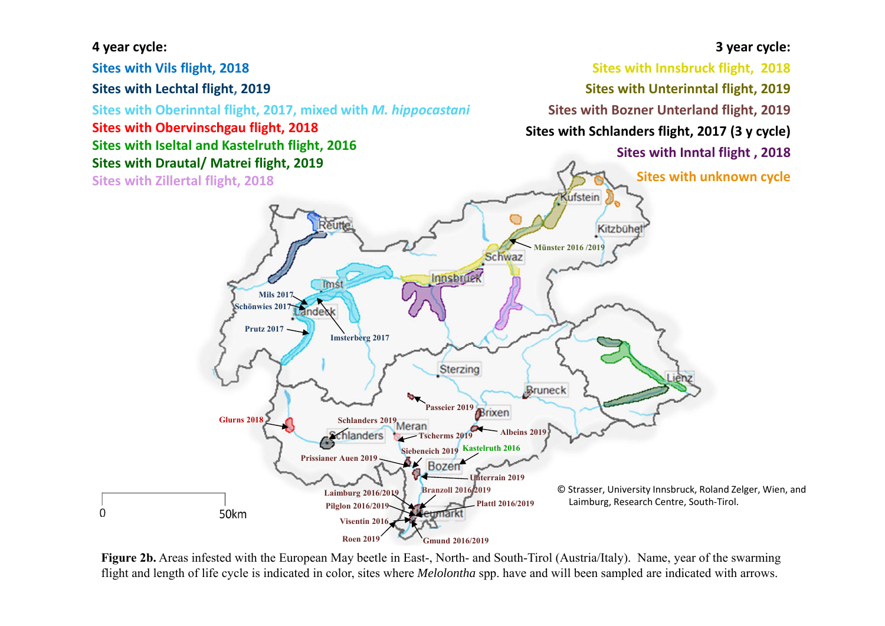**4 year cycle: 3 year cycle: Sites with Innsbruck flight, 2018 Sites with Vils flight, 2018 Sites with Lechtal flight, 2019 Sites with Unterinntal flight, 2019 Sites with Oberinntal flight, 2017, mixed with** *M. hippocastani* **Sites with Bozner Unterland flight, 2019 Sites with Obervinschgau flight, 2018 Sites with Schlanders flight, 2017 (3 y cycle) Sites with Iseltal and Kastelruth flight, 2016 Sites with Inntal flight , 2018 Sites with Drautal/ Matrei flight, 2019 Sites with unknown cycleSites with Zillertal flight, 2018**  Kufstein Reutte Kitzbüh Innsbruek **Münster 2016 /2019 Ims Mils 2017 Schönwies 2017Prutz 2017 Imsterberg 2017 Sterzing** Bruneck Passeier 2019<br>**Brixen Schlanders 2019 Glurns 2018 Tscherms <sup>2019</sup> Albeins <sup>2019</sup>** Schlanders **Kastelruth 2016 Siebeneich 2019 Prissianer Auen 2019 Bozen Unterrain 2019** © Strasser, University Innsbruck, Roland Zelger, Wien, and **Branzoll 2016/2019 Laimburg 2016/2019 Pilglon 2016/2019 Plattl 2016/2019** Laimburg, Research Centre, South‐Tirol.  $\overline{0}$ 50km **Visentin 2016 Roen 2019 Gmund 2016/2019**

**Figure 2b.** Areas infested with the European May beetle in East-, North- and South-Tirol (Austria/Italy). Name, year of the swarming flight and length of life cycle is indicated in color, sites where *Melolontha* spp. have and will been sampled are indicated with arrows.